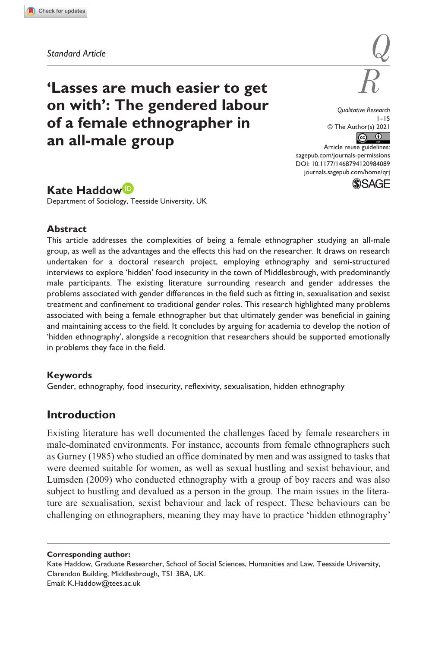**9840[89](http://crossmark.crossref.org/dialog/?doi=10.1177%2F1468794120984089&domain=pdf&date_stamp=2021-01-09)** QRJ0010.1177/1468794120984089Qualitative Research**Haddow**

# **'Lasses are much easier to get on with': The gendered labour of a female ethnographer in an all-male group**

*Q*

*Qualitative Research*  $1 - 15$ © The Author(s) 2021  $\circ$   $\circ$ 

[sagepub.com/journals-permissions](https://uk.sagepub.com/en-gb/journals-permissions) Article reuse guidelines: DOI: 10.1177/1468794120984089 [journals.sagepub.com/home/qrj](https://journals.sagepub.com/home/qrj)



# **Kate Haddow**

Department of Sociology, Teesside University, UK

### **Abstract**

This article addresses the complexities of being a female ethnographer studying an all-male group, as well as the advantages and the effects this had on the researcher. It draws on research undertaken for a doctoral research project, employing ethnography and semi-structured interviews to explore 'hidden' food insecurity in the town of Middlesbrough, with predominantly male participants. The existing literature surrounding research and gender addresses the problems associated with gender differences in the field such as fitting in, sexualisation and sexist treatment and confinement to traditional gender roles. This research highlighted many problems associated with being a female ethnographer but that ultimately gender was beneficial in gaining and maintaining access to the field. It concludes by arguing for academia to develop the notion of 'hidden ethnography', alongside a recognition that researchers should be supported emotionally in problems they face in the field.

### **Keywords**

Gender, ethnography, food insecurity, reflexivity, sexualisation, hidden ethnography

# **Introduction**

Existing literature has well documented the challenges faced by female researchers in male-dominated environments. For instance, accounts from female ethnographers such as Gurney (1985) who studied an office dominated by men and was assigned to tasks that were deemed suitable for women, as well as sexual hustling and sexist behaviour, and Lumsden (2009) who conducted ethnography with a group of boy racers and was also subject to hustling and devalued as a person in the group. The main issues in the literature are sexualisation, sexist behaviour and lack of respect. These behaviours can be challenging on ethnographers, meaning they may have to practice 'hidden ethnography'

**Corresponding author:**

Kate Haddow, Graduate Researcher, School of Social Sciences, Humanities and Law, Teesside University, Clarendon Building, Middlesbrough, TS1 3BA, UK. Email: [K.Haddow@tees.ac.uk](mailto:K.Haddow@tees.ac.uk)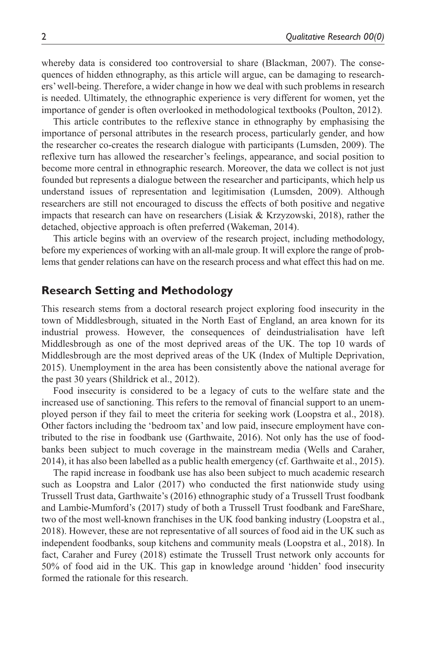whereby data is considered too controversial to share (Blackman, 2007). The consequences of hidden ethnography, as this article will argue, can be damaging to researchers' well-being. Therefore, a wider change in how we deal with such problems in research is needed. Ultimately, the ethnographic experience is very different for women, yet the importance of gender is often overlooked in methodological textbooks (Poulton, 2012).

This article contributes to the reflexive stance in ethnography by emphasising the importance of personal attributes in the research process, particularly gender, and how the researcher co-creates the research dialogue with participants (Lumsden, 2009). The reflexive turn has allowed the researcher's feelings, appearance, and social position to become more central in ethnographic research. Moreover, the data we collect is not just founded but represents a dialogue between the researcher and participants, which help us understand issues of representation and legitimisation (Lumsden, 2009). Although researchers are still not encouraged to discuss the effects of both positive and negative impacts that research can have on researchers (Lisiak & Krzyzowski, 2018), rather the detached, objective approach is often preferred (Wakeman, 2014).

This article begins with an overview of the research project, including methodology, before my experiences of working with an all-male group. It will explore the range of problems that gender relations can have on the research process and what effect this had on me.

## **Research Setting and Methodology**

This research stems from a doctoral research project exploring food insecurity in the town of Middlesbrough, situated in the North East of England, an area known for its industrial prowess. However, the consequences of deindustrialisation have left Middlesbrough as one of the most deprived areas of the UK. The top 10 wards of Middlesbrough are the most deprived areas of the UK (Index of Multiple Deprivation, 2015). Unemployment in the area has been consistently above the national average for the past 30 years (Shildrick et al., 2012).

Food insecurity is considered to be a legacy of cuts to the welfare state and the increased use of sanctioning. This refers to the removal of financial support to an unemployed person if they fail to meet the criteria for seeking work (Loopstra et al., 2018). Other factors including the 'bedroom tax' and low paid, insecure employment have contributed to the rise in foodbank use (Garthwaite, 2016). Not only has the use of foodbanks been subject to much coverage in the mainstream media (Wells and Caraher, 2014), it has also been labelled as a public health emergency (cf. Garthwaite et al., 2015).

The rapid increase in foodbank use has also been subject to much academic research such as Loopstra and Lalor (2017) who conducted the first nationwide study using Trussell Trust data, Garthwaite's (2016) ethnographic study of a Trussell Trust foodbank and Lambie-Mumford's (2017) study of both a Trussell Trust foodbank and FareShare, two of the most well-known franchises in the UK food banking industry (Loopstra et al., 2018). However, these are not representative of all sources of food aid in the UK such as independent foodbanks, soup kitchens and community meals (Loopstra et al., 2018). In fact, Caraher and Furey (2018) estimate the Trussell Trust network only accounts for 50% of food aid in the UK. This gap in knowledge around 'hidden' food insecurity formed the rationale for this research.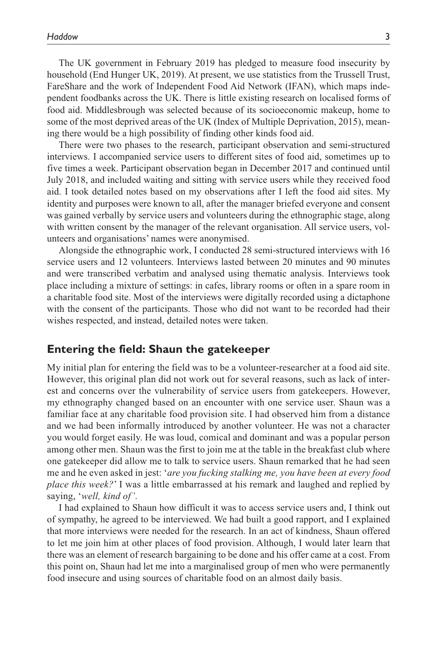The UK government in February 2019 has pledged to measure food insecurity by household (End Hunger UK, 2019). At present, we use statistics from the Trussell Trust, FareShare and the work of Independent Food Aid Network (IFAN), which maps independent foodbanks across the UK. There is little existing research on localised forms of food aid. Middlesbrough was selected because of its socioeconomic makeup, home to some of the most deprived areas of the UK (Index of Multiple Deprivation, 2015), meaning there would be a high possibility of finding other kinds food aid.

There were two phases to the research, participant observation and semi-structured interviews. I accompanied service users to different sites of food aid, sometimes up to five times a week. Participant observation began in December 2017 and continued until July 2018, and included waiting and sitting with service users while they received food aid. I took detailed notes based on my observations after I left the food aid sites. My identity and purposes were known to all, after the manager briefed everyone and consent was gained verbally by service users and volunteers during the ethnographic stage, along with written consent by the manager of the relevant organisation. All service users, volunteers and organisations' names were anonymised.

Alongside the ethnographic work, I conducted 28 semi-structured interviews with 16 service users and 12 volunteers. Interviews lasted between 20 minutes and 90 minutes and were transcribed verbatim and analysed using thematic analysis. Interviews took place including a mixture of settings: in cafes, library rooms or often in a spare room in a charitable food site. Most of the interviews were digitally recorded using a dictaphone with the consent of the participants. Those who did not want to be recorded had their wishes respected, and instead, detailed notes were taken.

### **Entering the field: Shaun the gatekeeper**

My initial plan for entering the field was to be a volunteer-researcher at a food aid site. However, this original plan did not work out for several reasons, such as lack of interest and concerns over the vulnerability of service users from gatekeepers. However, my ethnography changed based on an encounter with one service user. Shaun was a familiar face at any charitable food provision site. I had observed him from a distance and we had been informally introduced by another volunteer. He was not a character you would forget easily. He was loud, comical and dominant and was a popular person among other men. Shaun was the first to join me at the table in the breakfast club where one gatekeeper did allow me to talk to service users. Shaun remarked that he had seen me and he even asked in jest: '*are you fucking stalking me, you have been at every food place this week?*' I was a little embarrassed at his remark and laughed and replied by saying, '*well, kind of'*.

I had explained to Shaun how difficult it was to access service users and, I think out of sympathy, he agreed to be interviewed. We had built a good rapport, and I explained that more interviews were needed for the research. In an act of kindness, Shaun offered to let me join him at other places of food provision. Although, I would later learn that there was an element of research bargaining to be done and his offer came at a cost. From this point on, Shaun had let me into a marginalised group of men who were permanently food insecure and using sources of charitable food on an almost daily basis.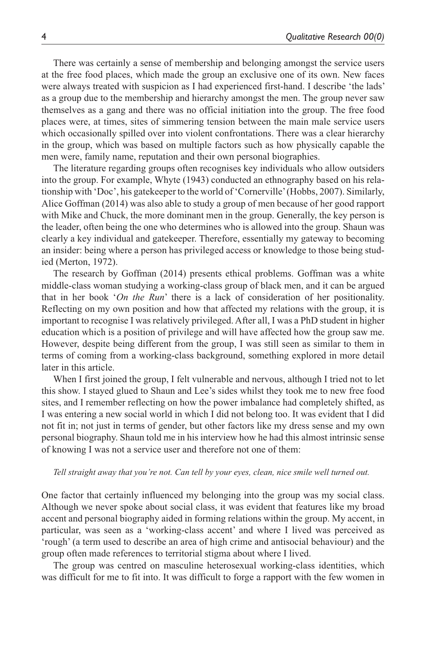There was certainly a sense of membership and belonging amongst the service users at the free food places, which made the group an exclusive one of its own. New faces were always treated with suspicion as I had experienced first-hand. I describe 'the lads' as a group due to the membership and hierarchy amongst the men. The group never saw themselves as a gang and there was no official initiation into the group. The free food places were, at times, sites of simmering tension between the main male service users which occasionally spilled over into violent confrontations. There was a clear hierarchy in the group, which was based on multiple factors such as how physically capable the men were, family name, reputation and their own personal biographies.

The literature regarding groups often recognises key individuals who allow outsiders into the group. For example, Whyte (1943) conducted an ethnography based on his relationship with 'Doc', his gatekeeper to the world of 'Cornerville' (Hobbs, 2007). Similarly, Alice Goffman (2014) was also able to study a group of men because of her good rapport with Mike and Chuck, the more dominant men in the group. Generally, the key person is the leader, often being the one who determines who is allowed into the group. Shaun was clearly a key individual and gatekeeper. Therefore, essentially my gateway to becoming an insider: being where a person has privileged access or knowledge to those being studied (Merton, 1972).

The research by Goffman (2014) presents ethical problems. Goffman was a white middle-class woman studying a working-class group of black men, and it can be argued that in her book '*On the Run*' there is a lack of consideration of her positionality. Reflecting on my own position and how that affected my relations with the group, it is important to recognise I was relatively privileged. After all, I was a PhD student in higher education which is a position of privilege and will have affected how the group saw me. However, despite being different from the group, I was still seen as similar to them in terms of coming from a working-class background, something explored in more detail later in this article.

When I first joined the group, I felt vulnerable and nervous, although I tried not to let this show. I stayed glued to Shaun and Lee's sides whilst they took me to new free food sites, and I remember reflecting on how the power imbalance had completely shifted, as I was entering a new social world in which I did not belong too. It was evident that I did not fit in; not just in terms of gender, but other factors like my dress sense and my own personal biography. Shaun told me in his interview how he had this almost intrinsic sense of knowing I was not a service user and therefore not one of them:

#### *Tell straight away that you're not. Can tell by your eyes, clean, nice smile well turned out.*

One factor that certainly influenced my belonging into the group was my social class. Although we never spoke about social class, it was evident that features like my broad accent and personal biography aided in forming relations within the group. My accent, in particular, was seen as a 'working-class accent' and where I lived was perceived as 'rough' (a term used to describe an area of high crime and antisocial behaviour) and the group often made references to territorial stigma about where I lived.

The group was centred on masculine heterosexual working-class identities, which was difficult for me to fit into. It was difficult to forge a rapport with the few women in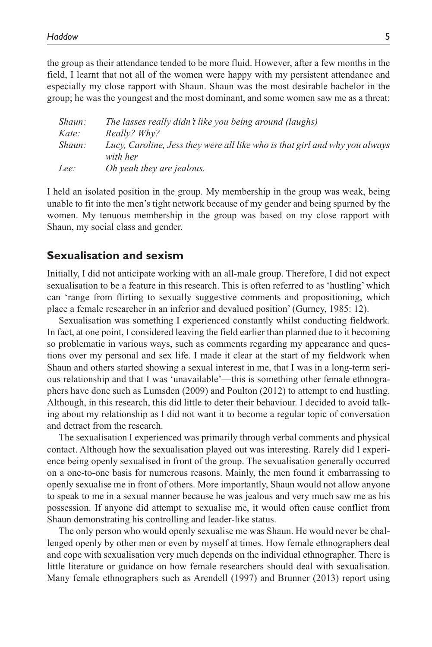the group as their attendance tended to be more fluid. However, after a few months in the field, I learnt that not all of the women were happy with my persistent attendance and especially my close rapport with Shaun. Shaun was the most desirable bachelor in the group; he was the youngest and the most dominant, and some women saw me as a threat:

| Shaun: | The lasses really didn't like you being around (laughs)                     |
|--------|-----------------------------------------------------------------------------|
| Kate:  | Really? Why?                                                                |
| Shaun: | Lucy, Caroline, Jess they were all like who is that girl and why you always |
|        | with her                                                                    |
| Lee:   | <i>Oh yeah they are jealous.</i>                                            |

I held an isolated position in the group. My membership in the group was weak, being unable to fit into the men's tight network because of my gender and being spurned by the women. My tenuous membership in the group was based on my close rapport with Shaun, my social class and gender.

## **Sexualisation and sexism**

Initially, I did not anticipate working with an all-male group. Therefore, I did not expect sexualisation to be a feature in this research. This is often referred to as 'hustling' which can 'range from flirting to sexually suggestive comments and propositioning, which place a female researcher in an inferior and devalued position' (Gurney, 1985: 12).

Sexualisation was something I experienced constantly whilst conducting fieldwork. In fact, at one point, I considered leaving the field earlier than planned due to it becoming so problematic in various ways, such as comments regarding my appearance and questions over my personal and sex life. I made it clear at the start of my fieldwork when Shaun and others started showing a sexual interest in me, that I was in a long-term serious relationship and that I was 'unavailable'—this is something other female ethnographers have done such as Lumsden (2009) and Poulton (2012) to attempt to end hustling. Although, in this research, this did little to deter their behaviour. I decided to avoid talking about my relationship as I did not want it to become a regular topic of conversation and detract from the research.

The sexualisation I experienced was primarily through verbal comments and physical contact. Although how the sexualisation played out was interesting. Rarely did I experience being openly sexualised in front of the group. The sexualisation generally occurred on a one-to-one basis for numerous reasons. Mainly, the men found it embarrassing to openly sexualise me in front of others. More importantly, Shaun would not allow anyone to speak to me in a sexual manner because he was jealous and very much saw me as his possession. If anyone did attempt to sexualise me, it would often cause conflict from Shaun demonstrating his controlling and leader-like status.

The only person who would openly sexualise me was Shaun. He would never be challenged openly by other men or even by myself at times. How female ethnographers deal and cope with sexualisation very much depends on the individual ethnographer. There is little literature or guidance on how female researchers should deal with sexualisation. Many female ethnographers such as Arendell (1997) and Brunner (2013) report using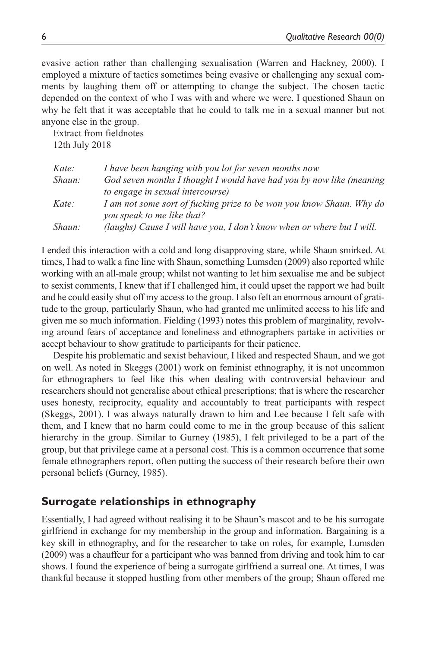evasive action rather than challenging sexualisation (Warren and Hackney, 2000). I employed a mixture of tactics sometimes being evasive or challenging any sexual comments by laughing them off or attempting to change the subject. The chosen tactic depended on the context of who I was with and where we were. I questioned Shaun on why he felt that it was acceptable that he could to talk me in a sexual manner but not anyone else in the group.

Extract from fieldnotes 12th July 2018

| Kate:  | I have been hanging with you lot for seven months now                  |
|--------|------------------------------------------------------------------------|
| Shaun: | God seven months I thought I would have had you by now like (meaning   |
|        | to engage in sexual intercourse)                                       |
| Kate:  | I am not some sort of fucking prize to be won you know Shaun. Why do   |
|        | you speak to me like that?                                             |
| Shaun: | (laughs) Cause I will have you, I don't know when or where but I will. |

I ended this interaction with a cold and long disapproving stare, while Shaun smirked. At times, I had to walk a fine line with Shaun, something Lumsden (2009) also reported while working with an all-male group; whilst not wanting to let him sexualise me and be subject to sexist comments, I knew that if I challenged him, it could upset the rapport we had built and he could easily shut off my access to the group. I also felt an enormous amount of gratitude to the group, particularly Shaun, who had granted me unlimited access to his life and given me so much information. Fielding (1993) notes this problem of marginality, revolving around fears of acceptance and loneliness and ethnographers partake in activities or accept behaviour to show gratitude to participants for their patience.

Despite his problematic and sexist behaviour, I liked and respected Shaun, and we got on well. As noted in Skeggs (2001) work on feminist ethnography, it is not uncommon for ethnographers to feel like this when dealing with controversial behaviour and researchers should not generalise about ethical prescriptions; that is where the researcher uses honesty, reciprocity, equality and accountably to treat participants with respect (Skeggs, 2001). I was always naturally drawn to him and Lee because I felt safe with them, and I knew that no harm could come to me in the group because of this salient hierarchy in the group. Similar to Gurney (1985), I felt privileged to be a part of the group, but that privilege came at a personal cost. This is a common occurrence that some female ethnographers report, often putting the success of their research before their own personal beliefs (Gurney, 1985).

# **Surrogate relationships in ethnography**

Essentially, I had agreed without realising it to be Shaun's mascot and to be his surrogate girlfriend in exchange for my membership in the group and information. Bargaining is a key skill in ethnography, and for the researcher to take on roles, for example, Lumsden (2009) was a chauffeur for a participant who was banned from driving and took him to car shows. I found the experience of being a surrogate girlfriend a surreal one. At times, I was thankful because it stopped hustling from other members of the group; Shaun offered me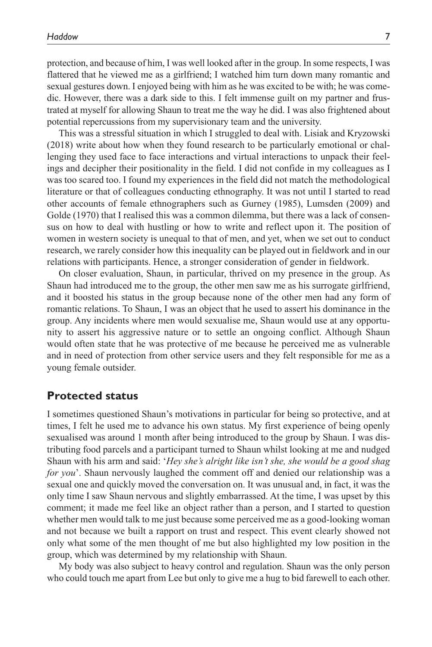protection, and because of him, I was well looked after in the group. In some respects, I was flattered that he viewed me as a girlfriend; I watched him turn down many romantic and sexual gestures down. I enjoyed being with him as he was excited to be with; he was comedic. However, there was a dark side to this. I felt immense guilt on my partner and frustrated at myself for allowing Shaun to treat me the way he did. I was also frightened about potential repercussions from my supervisionary team and the university.

This was a stressful situation in which I struggled to deal with. Lisiak and Kryzowski (2018) write about how when they found research to be particularly emotional or challenging they used face to face interactions and virtual interactions to unpack their feelings and decipher their positionality in the field. I did not confide in my colleagues as I was too scared too. I found my experiences in the field did not match the methodological literature or that of colleagues conducting ethnography. It was not until I started to read other accounts of female ethnographers such as Gurney (1985), Lumsden (2009) and Golde (1970) that I realised this was a common dilemma, but there was a lack of consensus on how to deal with hustling or how to write and reflect upon it. The position of women in western society is unequal to that of men, and yet, when we set out to conduct research, we rarely consider how this inequality can be played out in fieldwork and in our relations with participants. Hence, a stronger consideration of gender in fieldwork.

On closer evaluation, Shaun, in particular, thrived on my presence in the group. As Shaun had introduced me to the group, the other men saw me as his surrogate girlfriend, and it boosted his status in the group because none of the other men had any form of romantic relations. To Shaun, I was an object that he used to assert his dominance in the group. Any incidents where men would sexualise me, Shaun would use at any opportunity to assert his aggressive nature or to settle an ongoing conflict. Although Shaun would often state that he was protective of me because he perceived me as vulnerable and in need of protection from other service users and they felt responsible for me as a young female outsider.

## **Protected status**

I sometimes questioned Shaun's motivations in particular for being so protective, and at times, I felt he used me to advance his own status. My first experience of being openly sexualised was around 1 month after being introduced to the group by Shaun. I was distributing food parcels and a participant turned to Shaun whilst looking at me and nudged Shaun with his arm and said: '*Hey she's alright like isn't she, she would be a good shag for you*'. Shaun nervously laughed the comment off and denied our relationship was a sexual one and quickly moved the conversation on. It was unusual and, in fact, it was the only time I saw Shaun nervous and slightly embarrassed. At the time, I was upset by this comment; it made me feel like an object rather than a person, and I started to question whether men would talk to me just because some perceived me as a good-looking woman and not because we built a rapport on trust and respect. This event clearly showed not only what some of the men thought of me but also highlighted my low position in the group, which was determined by my relationship with Shaun.

My body was also subject to heavy control and regulation. Shaun was the only person who could touch me apart from Lee but only to give me a hug to bid farewell to each other.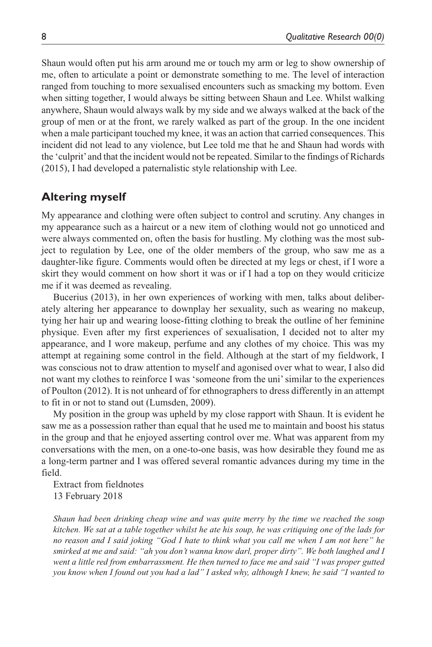Shaun would often put his arm around me or touch my arm or leg to show ownership of me, often to articulate a point or demonstrate something to me. The level of interaction ranged from touching to more sexualised encounters such as smacking my bottom. Even when sitting together, I would always be sitting between Shaun and Lee. Whilst walking anywhere, Shaun would always walk by my side and we always walked at the back of the group of men or at the front, we rarely walked as part of the group. In the one incident when a male participant touched my knee, it was an action that carried consequences. This incident did not lead to any violence, but Lee told me that he and Shaun had words with the 'culprit' and that the incident would not be repeated. Similar to the findings of Richards (2015), I had developed a paternalistic style relationship with Lee.

## **Altering myself**

My appearance and clothing were often subject to control and scrutiny. Any changes in my appearance such as a haircut or a new item of clothing would not go unnoticed and were always commented on, often the basis for hustling. My clothing was the most subject to regulation by Lee, one of the older members of the group, who saw me as a daughter-like figure. Comments would often be directed at my legs or chest, if I wore a skirt they would comment on how short it was or if I had a top on they would criticize me if it was deemed as revealing.

Bucerius (2013), in her own experiences of working with men, talks about deliberately altering her appearance to downplay her sexuality, such as wearing no makeup, tying her hair up and wearing loose-fitting clothing to break the outline of her feminine physique. Even after my first experiences of sexualisation, I decided not to alter my appearance, and I wore makeup, perfume and any clothes of my choice. This was my attempt at regaining some control in the field. Although at the start of my fieldwork, I was conscious not to draw attention to myself and agonised over what to wear, I also did not want my clothes to reinforce I was 'someone from the uni' similar to the experiences of Poulton (2012). It is not unheard of for ethnographers to dress differently in an attempt to fit in or not to stand out (Lumsden, 2009).

My position in the group was upheld by my close rapport with Shaun. It is evident he saw me as a possession rather than equal that he used me to maintain and boost his status in the group and that he enjoyed asserting control over me. What was apparent from my conversations with the men, on a one-to-one basis, was how desirable they found me as a long-term partner and I was offered several romantic advances during my time in the field.

Extract from fieldnotes 13 February 2018

*Shaun had been drinking cheap wine and was quite merry by the time we reached the soup kitchen. We sat at a table together whilst he ate his soup, he was critiquing one of the lads for no reason and I said joking "God I hate to think what you call me when I am not here" he smirked at me and said: "ah you don't wanna know darl, proper dirty". We both laughed and I went a little red from embarrassment. He then turned to face me and said "I was proper gutted you know when I found out you had a lad" I asked why, although I knew, he said "I wanted to*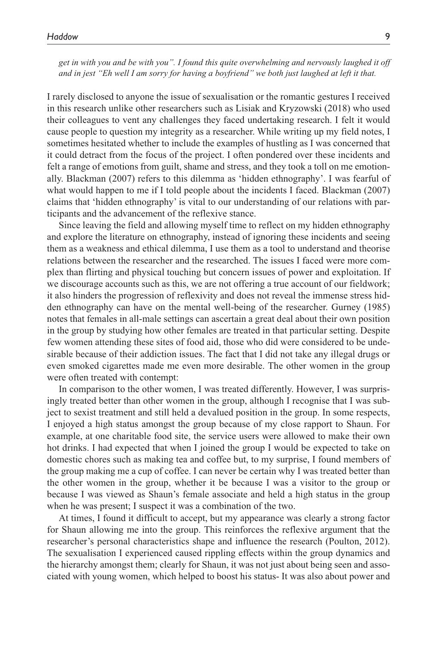*get in with you and be with you". I found this quite overwhelming and nervously laughed it off and in jest "Eh well I am sorry for having a boyfriend" we both just laughed at left it that.*

I rarely disclosed to anyone the issue of sexualisation or the romantic gestures I received in this research unlike other researchers such as Lisiak and Kryzowski (2018) who used their colleagues to vent any challenges they faced undertaking research. I felt it would cause people to question my integrity as a researcher. While writing up my field notes, I sometimes hesitated whether to include the examples of hustling as I was concerned that it could detract from the focus of the project. I often pondered over these incidents and felt a range of emotions from guilt, shame and stress, and they took a toll on me emotionally. Blackman (2007) refers to this dilemma as 'hidden ethnography'. I was fearful of what would happen to me if I told people about the incidents I faced. Blackman (2007) claims that 'hidden ethnography' is vital to our understanding of our relations with participants and the advancement of the reflexive stance.

Since leaving the field and allowing myself time to reflect on my hidden ethnography and explore the literature on ethnography, instead of ignoring these incidents and seeing them as a weakness and ethical dilemma, I use them as a tool to understand and theorise relations between the researcher and the researched. The issues I faced were more complex than flirting and physical touching but concern issues of power and exploitation. If we discourage accounts such as this, we are not offering a true account of our fieldwork; it also hinders the progression of reflexivity and does not reveal the immense stress hidden ethnography can have on the mental well-being of the researcher. Gurney (1985) notes that females in all-male settings can ascertain a great deal about their own position in the group by studying how other females are treated in that particular setting. Despite few women attending these sites of food aid, those who did were considered to be undesirable because of their addiction issues. The fact that I did not take any illegal drugs or even smoked cigarettes made me even more desirable. The other women in the group were often treated with contempt:

In comparison to the other women, I was treated differently. However, I was surprisingly treated better than other women in the group, although I recognise that I was subject to sexist treatment and still held a devalued position in the group. In some respects, I enjoyed a high status amongst the group because of my close rapport to Shaun. For example, at one charitable food site, the service users were allowed to make their own hot drinks. I had expected that when I joined the group I would be expected to take on domestic chores such as making tea and coffee but, to my surprise, I found members of the group making me a cup of coffee. I can never be certain why I was treated better than the other women in the group, whether it be because I was a visitor to the group or because I was viewed as Shaun's female associate and held a high status in the group when he was present; I suspect it was a combination of the two.

At times, I found it difficult to accept, but my appearance was clearly a strong factor for Shaun allowing me into the group. This reinforces the reflexive argument that the researcher's personal characteristics shape and influence the research (Poulton, 2012). The sexualisation I experienced caused rippling effects within the group dynamics and the hierarchy amongst them; clearly for Shaun, it was not just about being seen and associated with young women, which helped to boost his status- It was also about power and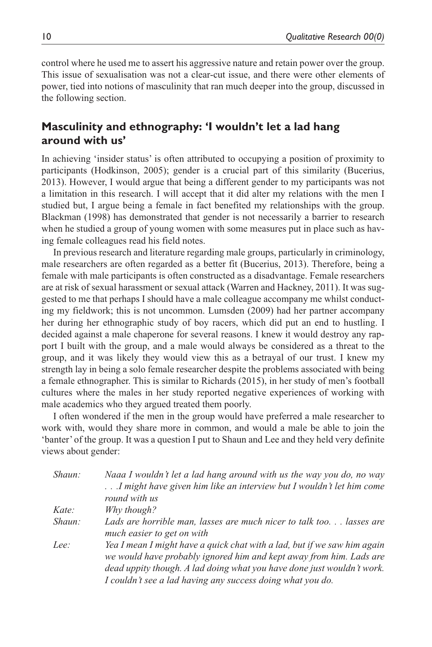control where he used me to assert his aggressive nature and retain power over the group. This issue of sexualisation was not a clear-cut issue, and there were other elements of power, tied into notions of masculinity that ran much deeper into the group, discussed in the following section.

## **Masculinity and ethnography: 'I wouldn't let a lad hang around with us'**

In achieving 'insider status' is often attributed to occupying a position of proximity to participants (Hodkinson, 2005); gender is a crucial part of this similarity (Bucerius, 2013). However, I would argue that being a different gender to my participants was not a limitation in this research. I will accept that it did alter my relations with the men I studied but, I argue being a female in fact benefited my relationships with the group. Blackman (1998) has demonstrated that gender is not necessarily a barrier to research when he studied a group of young women with some measures put in place such as having female colleagues read his field notes.

In previous research and literature regarding male groups, particularly in criminology, male researchers are often regarded as a better fit (Bucerius, 2013). Therefore, being a female with male participants is often constructed as a disadvantage. Female researchers are at risk of sexual harassment or sexual attack (Warren and Hackney, 2011). It was suggested to me that perhaps I should have a male colleague accompany me whilst conducting my fieldwork; this is not uncommon. Lumsden (2009) had her partner accompany her during her ethnographic study of boy racers, which did put an end to hustling. I decided against a male chaperone for several reasons. I knew it would destroy any rapport I built with the group, and a male would always be considered as a threat to the group, and it was likely they would view this as a betrayal of our trust. I knew my strength lay in being a solo female researcher despite the problems associated with being a female ethnographer. This is similar to Richards (2015), in her study of men's football cultures where the males in her study reported negative experiences of working with male academics who they argued treated them poorly.

I often wondered if the men in the group would have preferred a male researcher to work with, would they share more in common, and would a male be able to join the 'banter' of the group. It was a question I put to Shaun and Lee and they held very definite views about gender:

| Shaun: | Naaa I wouldn't let a lad hang around with us the way you do, no way<br>I might have given him like an interview but I wouldn't let him come                                                                                                                                            |
|--------|-----------------------------------------------------------------------------------------------------------------------------------------------------------------------------------------------------------------------------------------------------------------------------------------|
|        | round with us                                                                                                                                                                                                                                                                           |
| Kate:  | Why though?                                                                                                                                                                                                                                                                             |
| Shaun: | Lads are horrible man, lasses are much nicer to talk too lasses are<br>much easier to get on with                                                                                                                                                                                       |
| Lee:   | Yea I mean I might have a quick chat with a lad, but if we saw him again<br>we would have probably ignored him and kept away from him. Lads are<br>dead uppity though. A lad doing what you have done just wouldn't work.<br>I couldn't see a lad having any success doing what you do. |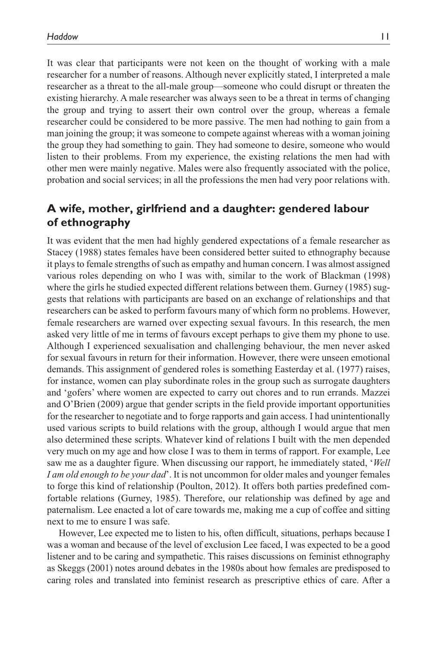It was clear that participants were not keen on the thought of working with a male researcher for a number of reasons. Although never explicitly stated, I interpreted a male researcher as a threat to the all-male group—someone who could disrupt or threaten the existing hierarchy. A male researcher was always seen to be a threat in terms of changing the group and trying to assert their own control over the group, whereas a female researcher could be considered to be more passive. The men had nothing to gain from a man joining the group; it was someone to compete against whereas with a woman joining the group they had something to gain. They had someone to desire, someone who would listen to their problems. From my experience, the existing relations the men had with other men were mainly negative. Males were also frequently associated with the police, probation and social services; in all the professions the men had very poor relations with.

# **A wife, mother, girlfriend and a daughter: gendered labour of ethnography**

It was evident that the men had highly gendered expectations of a female researcher as Stacey (1988) states females have been considered better suited to ethnography because it plays to female strengths of such as empathy and human concern. I was almost assigned various roles depending on who I was with, similar to the work of Blackman (1998) where the girls he studied expected different relations between them. Gurney (1985) suggests that relations with participants are based on an exchange of relationships and that researchers can be asked to perform favours many of which form no problems. However, female researchers are warned over expecting sexual favours. In this research, the men asked very little of me in terms of favours except perhaps to give them my phone to use. Although I experienced sexualisation and challenging behaviour, the men never asked for sexual favours in return for their information. However, there were unseen emotional demands. This assignment of gendered roles is something Easterday et al. (1977) raises, for instance, women can play subordinate roles in the group such as surrogate daughters and 'gofers' where women are expected to carry out chores and to run errands. Mazzei and O'Brien (2009) argue that gender scripts in the field provide important opportunities for the researcher to negotiate and to forge rapports and gain access. I had unintentionally used various scripts to build relations with the group, although I would argue that men also determined these scripts. Whatever kind of relations I built with the men depended very much on my age and how close I was to them in terms of rapport. For example, Lee saw me as a daughter figure. When discussing our rapport, he immediately stated, '*Well I am old enough to be your dad*'. It is not uncommon for older males and younger females to forge this kind of relationship (Poulton, 2012). It offers both parties predefined comfortable relations (Gurney, 1985). Therefore, our relationship was defined by age and paternalism. Lee enacted a lot of care towards me, making me a cup of coffee and sitting next to me to ensure I was safe.

However, Lee expected me to listen to his, often difficult, situations, perhaps because I was a woman and because of the level of exclusion Lee faced, I was expected to be a good listener and to be caring and sympathetic. This raises discussions on feminist ethnography as Skeggs (2001) notes around debates in the 1980s about how females are predisposed to caring roles and translated into feminist research as prescriptive ethics of care. After a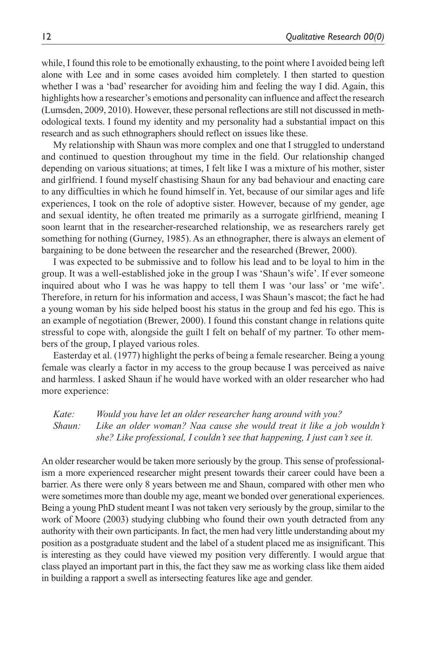while, I found this role to be emotionally exhausting, to the point where I avoided being left alone with Lee and in some cases avoided him completely. I then started to question whether I was a 'bad' researcher for avoiding him and feeling the way I did. Again, this highlights how a researcher's emotions and personality can influence and affect the research (Lumsden, 2009, 2010). However, these personal reflections are still not discussed in methodological texts. I found my identity and my personality had a substantial impact on this research and as such ethnographers should reflect on issues like these.

My relationship with Shaun was more complex and one that I struggled to understand and continued to question throughout my time in the field. Our relationship changed depending on various situations; at times, I felt like I was a mixture of his mother, sister and girlfriend. I found myself chastising Shaun for any bad behaviour and enacting care to any difficulties in which he found himself in. Yet, because of our similar ages and life experiences, I took on the role of adoptive sister. However, because of my gender, age and sexual identity, he often treated me primarily as a surrogate girlfriend, meaning I soon learnt that in the researcher-researched relationship, we as researchers rarely get something for nothing (Gurney, 1985). As an ethnographer, there is always an element of bargaining to be done between the researcher and the researched (Brewer, 2000).

I was expected to be submissive and to follow his lead and to be loyal to him in the group. It was a well-established joke in the group I was 'Shaun's wife'. If ever someone inquired about who I was he was happy to tell them I was 'our lass' or 'me wife'. Therefore, in return for his information and access, I was Shaun's mascot; the fact he had a young woman by his side helped boost his status in the group and fed his ego. This is an example of negotiation (Brewer, 2000). I found this constant change in relations quite stressful to cope with, alongside the guilt I felt on behalf of my partner. To other members of the group, I played various roles.

Easterday et al. (1977) highlight the perks of being a female researcher. Being a young female was clearly a factor in my access to the group because I was perceived as naive and harmless. I asked Shaun if he would have worked with an older researcher who had more experience:

*Kate: Would you have let an older researcher hang around with you? Shaun: Like an older woman? Naa cause she would treat it like a job wouldn't she? Like professional, I couldn't see that happening, I just can't see it.*

An older researcher would be taken more seriously by the group. This sense of professionalism a more experienced researcher might present towards their career could have been a barrier. As there were only 8 years between me and Shaun, compared with other men who were sometimes more than double my age, meant we bonded over generational experiences. Being a young PhD student meant I was not taken very seriously by the group, similar to the work of Moore (2003) studying clubbing who found their own youth detracted from any authority with their own participants. In fact, the men had very little understanding about my position as a postgraduate student and the label of a student placed me as insignificant. This is interesting as they could have viewed my position very differently. I would argue that class played an important part in this, the fact they saw me as working class like them aided in building a rapport a swell as intersecting features like age and gender.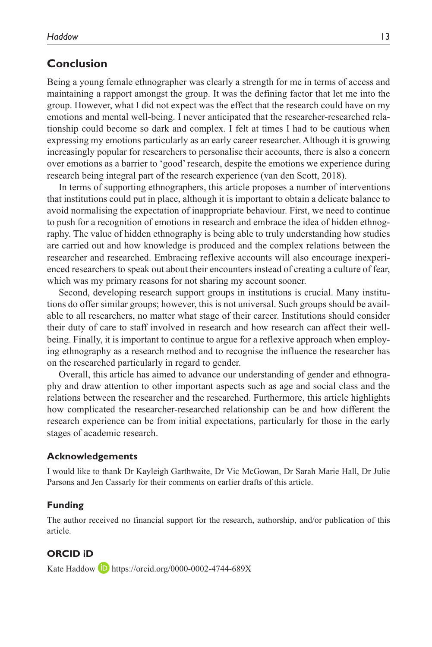## **Conclusion**

Being a young female ethnographer was clearly a strength for me in terms of access and maintaining a rapport amongst the group. It was the defining factor that let me into the group. However, what I did not expect was the effect that the research could have on my emotions and mental well-being. I never anticipated that the researcher-researched relationship could become so dark and complex. I felt at times I had to be cautious when expressing my emotions particularly as an early career researcher. Although it is growing increasingly popular for researchers to personalise their accounts, there is also a concern over emotions as a barrier to 'good' research, despite the emotions we experience during research being integral part of the research experience (van den Scott, 2018).

In terms of supporting ethnographers, this article proposes a number of interventions that institutions could put in place, although it is important to obtain a delicate balance to avoid normalising the expectation of inappropriate behaviour. First, we need to continue to push for a recognition of emotions in research and embrace the idea of hidden ethnography. The value of hidden ethnography is being able to truly understanding how studies are carried out and how knowledge is produced and the complex relations between the researcher and researched. Embracing reflexive accounts will also encourage inexperienced researchers to speak out about their encounters instead of creating a culture of fear, which was my primary reasons for not sharing my account sooner.

Second, developing research support groups in institutions is crucial. Many institutions do offer similar groups; however, this is not universal. Such groups should be available to all researchers, no matter what stage of their career. Institutions should consider their duty of care to staff involved in research and how research can affect their wellbeing. Finally, it is important to continue to argue for a reflexive approach when employing ethnography as a research method and to recognise the influence the researcher has on the researched particularly in regard to gender.

Overall, this article has aimed to advance our understanding of gender and ethnography and draw attention to other important aspects such as age and social class and the relations between the researcher and the researched. Furthermore, this article highlights how complicated the researcher-researched relationship can be and how different the research experience can be from initial expectations, particularly for those in the early stages of academic research.

#### **Acknowledgements**

I would like to thank Dr Kayleigh Garthwaite, Dr Vic McGowan, Dr Sarah Marie Hall, Dr Julie Parsons and Jen Cassarly for their comments on earlier drafts of this article.

#### **Funding**

The author received no financial support for the research, authorship, and/or publication of this article.

#### **ORCID iD**

Kate Haddow **D** <https://orcid.org/0000-0002-4744-689X>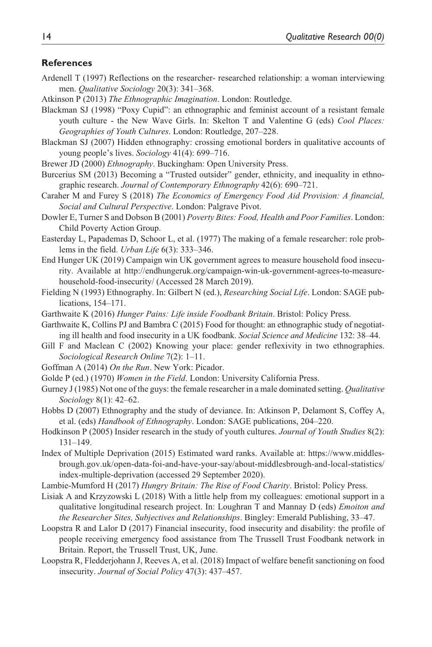#### **References**

- Ardenell T (1997) Reflections on the researcher- researched relationship: a woman interviewing men. *Qualitative Sociology* 20(3): 341–368.
- Atkinson P (2013) *The Ethnographic Imagination*. London: Routledge.
- Blackman SJ (1998) "Poxy Cupid": an ethnographic and feminist account of a resistant female youth culture - the New Wave Girls. In: Skelton T and Valentine G (eds) *Cool Places: Geographies of Youth Cultures*. London: Routledge, 207–228.
- Blackman SJ (2007) Hidden ethnography: crossing emotional borders in qualitative accounts of young people's lives. *Sociology* 41(4): 699–716.
- Brewer JD (2000) *Ethnography*. Buckingham: Open University Press.
- Burcerius SM (2013) Becoming a "Trusted outsider" gender, ethnicity, and inequality in ethnographic research. *Journal of Contemporary Ethnography* 42(6): 690–721.
- Caraher M and Furey S (2018) *The Economics of Emergency Food Aid Provision: A financial, Social and Cultural Perspective*. London: Palgrave Pivot.
- Dowler E, Turner S and Dobson B (2001) *Poverty Bites: Food, Health and Poor Families*. London: Child Poverty Action Group.
- Easterday L, Papademas D, Schoor L, et al. (1977) The making of a female researcher: role problems in the field. *Urban Life* 6(3): 333–346.
- End Hunger UK (2019) Campaign win UK government agrees to measure household food insecurity. Available at [http://endhungeruk.org/campaign-win-uk-government-agrees-to-measure](http://endhungeruk.org/campaign-win-uk-government-agrees-to-measure-household-food-insecurity/)[household-food-insecurity/](http://endhungeruk.org/campaign-win-uk-government-agrees-to-measure-household-food-insecurity/) (Accessed 28 March 2019).
- Fielding N (1993) Ethnography. In: Gilbert N (ed.), *Researching Social Life*. London: SAGE publications, 154–171.
- Garthwaite K (2016) *Hunger Pains: Life inside Foodbank Britain*. Bristol: Policy Press.
- Garthwaite K, Collins PJ and Bambra C (2015) Food for thought: an ethnographic study of negotiating ill health and food insecurity in a UK foodbank. *Social Science and Medicine* 132: 38–44.
- Gill F and Maclean C (2002) Knowing your place: gender reflexivity in two ethnographies. *Sociological Research Online* 7(2): 1–11.
- Goffman A (2014) *On the Run*. New York: Picador.
- Golde P (ed.) (1970) *Women in the Field*. London: University California Press.
- Gurney J (1985) Not one of the guys: the female researcher in a male dominated setting. *Qualitative Sociology* 8(1): 42–62.
- Hobbs D (2007) Ethnography and the study of deviance. In: Atkinson P, Delamont S, Coffey A, et al. (eds) *Handbook of Ethnography*. London: SAGE publications, 204–220.
- Hodkinson P (2005) Insider research in the study of youth cultures. *Journal of Youth Studies* 8(2): 131–149.
- Index of Multiple Deprivation (2015) Estimated ward ranks. Available at: [https://www.middles](https://www.middlesbrough.gov.uk/open-data-foi-and-have-your-say/about-middlesbrough-and-local-statistics/index-multiple-deprivation)[brough.gov.uk/open-data-foi-and-have-your-say/about-middlesbrough-and-local-statistics/](https://www.middlesbrough.gov.uk/open-data-foi-and-have-your-say/about-middlesbrough-and-local-statistics/index-multiple-deprivation) [index-multiple-deprivation](https://www.middlesbrough.gov.uk/open-data-foi-and-have-your-say/about-middlesbrough-and-local-statistics/index-multiple-deprivation) (accessed 29 September 2020).
- Lambie-Mumford H (2017) *Hungry Britain: The Rise of Food Charity*. Bristol: Policy Press.
- Lisiak A and Krzyzowski L (2018) With a little help from my colleagues: emotional support in a qualitative longitudinal research project. In: Loughran T and Mannay D (eds) *Emoiton and the Researcher Sites, Subjectives and Relationships*. Bingley: Emerald Publishing, 33–47.
- Loopstra R and Lalor D (2017) Financial insecurity, food insecurity and disability: the profile of people receiving emergency food assistance from The Trussell Trust Foodbank network in Britain. Report, the Trussell Trust, UK, June.
- Loopstra R, Fledderjohann J, Reeves A, et al. (2018) Impact of welfare benefit sanctioning on food insecurity. *Journal of Social Policy* 47(3): 437–457.